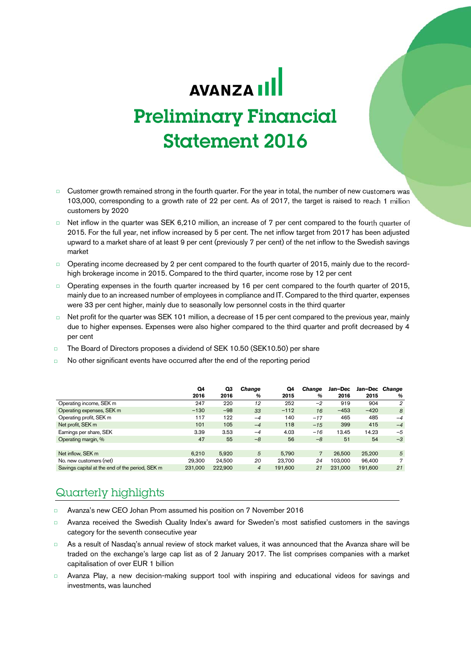# AVANZA III Preliminary Financial Statement 2016

- Customer growth remained strong in the fourth quarter. For the year in total, the number of new customers was 103,000, corresponding to a growth rate of 22 per cent. As of 2017, the target is raised to reach 1 million customers by 2020
- □ Net inflow in the quarter was SEK 6,210 million, an increase of 7 per cent compared to the fourth quarter of 2015. For the full year, net inflow increased by 5 per cent. The net inflow target from 2017 has been adjusted upward to a market share of at least 9 per cent (previously 7 per cent) of the net inflow to the Swedish savings market
- Operating income decreased by 2 per cent compared to the fourth quarter of 2015, mainly due to the recordhigh brokerage income in 2015. Compared to the third quarter, income rose by 12 per cent
- □ Operating expenses in the fourth quarter increased by 16 per cent compared to the fourth quarter of 2015, mainly due to an increased number of employees in compliance and IT. Compared to the third quarter, expenses were 33 per cent higher, mainly due to seasonally low personnel costs in the third quarter
- Net profit for the quarter was SEK 101 million, a decrease of 15 per cent compared to the previous year, mainly due to higher expenses. Expenses were also higher compared to the third quarter and profit decreased by 4 per cent
- □ The Board of Directors proposes a dividend of SEK 10.50 (SEK10.50) per share
- □ No other significant events have occurred after the end of the reporting period

|                                                 | Q4      | Q3      | Change         | Q4      | Change | Jan-Dec | Jan-Dec Change |             |
|-------------------------------------------------|---------|---------|----------------|---------|--------|---------|----------------|-------------|
|                                                 | 2016    | 2016    | %              | 2015    | %      | 2016    | 2015           | %           |
| Operating income, SEK m                         | 247     | 220     | 12             | 252     | $-2$   | 919     | 904            | 2           |
| Operating expenses, SEK m                       | $-130$  | $-98$   | 33             | $-112$  | 16     | $-453$  | $-420$         | 8           |
| Operating profit, SEK m                         | 117     | 122     | $-4$           | 140     | $-17$  | 465     | 485            | $-4$        |
| Net profit, SEK m                               | 101     | 105     | $-4$           | 118     | $-15$  | 399     | 415            | $-4$        |
| Earnings per share, SEK                         | 3.39    | 3.53    | $-4$           | 4.03    | $-16$  | 13.45   | 14.23          | $-5$        |
| Operating margin, %                             | 47      | 55      | $-8$           | 56      | $-8$   | 51      | 54             | $-3$        |
|                                                 |         |         |                |         |        |         |                |             |
| Net inflow, SEK m                               | 6.210   | 5.920   | 5              | 5.790   | 7      | 26,500  | 25,200         | $5^{\circ}$ |
| No. new customers (net)                         | 29.300  | 24.500  | 20             | 23.700  | 24     | 103.000 | 96.400         | 7           |
| Savings capital at the end of the period, SEK m | 231.000 | 222.900 | $\overline{4}$ | 191.600 | 21     | 231.000 | 191.600        | 21          |

# Quarterly highlights

- □ Avanza's new CEO Johan Prom assumed his position on 7 November 2016
- □ Avanza received the Swedish Quality Index's award for Sweden's most satisfied customers in the savings category for the seventh consecutive year
- □ As a result of Nasdaq's annual review of stock market values, it was announced that the Avanza share will be traded on the exchange's large cap list as of 2 January 2017. The list comprises companies with a market capitalisation of over EUR 1 billion
- □ Avanza Play, a new decision-making support tool with inspiring and educational videos for savings and investments, was launched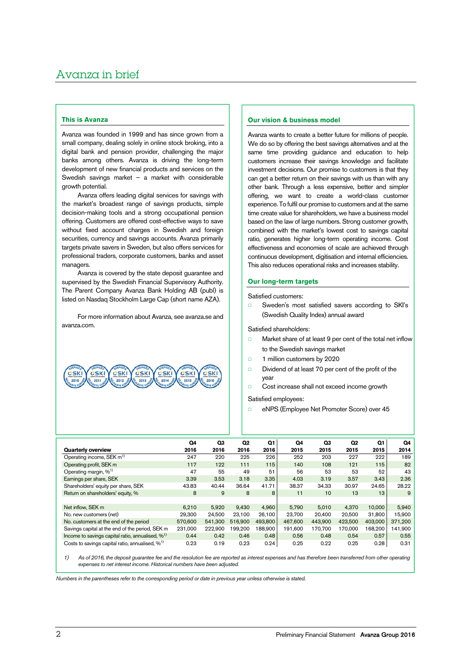# **This is Avanza**

Avanza was founded in 1999 and has since grown from a small company, dealing solely in online stock broking, into a digital bank and pension provider, challenging the major banks among others. Avanza is driving the long-term development of new financial products and services on the Swedish savings market – a market with considerable growth potential.

Avanza offers leading digital services for savings with the market's broadest range of savings products, simple decision-making tools and a strong occupational pension offering. Customers are offered cost-effective ways to save without fixed account charges in Swedish and foreign securities, currency and savings accounts. Avanza primarily targets private savers in Sweden, but also offers services for professional traders, corporate customers, banks and asset managers.

Avanza is covered by the state deposit guarantee and supervised by the Swedish Financial Supervisory Authority. The Parent Company Avanza Bank Holding AB (publ) is listed on Nasdaq Stockholm Large Cap (short name AZA).

For more information about Avanza, see avanza.se and avanza.com.

| $\underbrace{\underbrace{(\overbrace{CSK1}}_{\overline{25K1}}\underbrace{(\overbrace{CSK1}}_{\overline{25K1}}\underbrace{(\overbrace{CSK1}}_{\overline{25K1}}\underbrace{(\overbrace{CSK1}}_{\overline{25K1}}\underbrace{(\overbrace{CSK1}}_{\overline{25K1}}\underbrace{(\overbrace{CSK1}}_{\overline{25K1}}\underbrace{(\overbrace{CSK1}}_{\overline{25K1}})$ |  |  |  |
|-----------------------------------------------------------------------------------------------------------------------------------------------------------------------------------------------------------------------------------------------------------------------------------------------------------------------------------------------------------------|--|--|--|
|                                                                                                                                                                                                                                                                                                                                                                 |  |  |  |

# **Our vision & business model**

Avanza wants to create a better future for millions of people. We do so by offering the best savings alternatives and at the same time providing guidance and education to help customers increase their savings knowledge and facilitate investment decisions. Our promise to customers is that they can get a better return on their savings with us than with any other bank. Through a less expensive, better and simpler offering, we want to create a world-class customer experience. To fulfil our promise to customers and at the same time create value for shareholders, we have a business model based on the law of large numbers. Strong customer growth, combined with the market's lowest cost to savings capital ratio, generates higher long-term operating income. Cost effectiveness and economies of scale are achieved through continuous development, digitisation and internal efficiencies. This also reduces operational risks and increases stability.

### **Our long-term targets**

Satisfied customers:

□ Sweden's most satisfied savers according to SKI's (Swedish Quality Index) annual award

Satisfied shareholders:

- □ Market share of at least 9 per cent of the total net inflow to the Swedish savings market
- □ 1 million customers by 2020
- □ Dividend of at least 70 per cent of the profit of the year
- □ Cost increase shall not exceed income growth

Satisfied employees:

□ eNPS (Employee Net Promoter Score) over 45

|                                                              | Q4      | Q3      | Q <sub>2</sub> | Q1      | Q4      | Q3      | Q <sub>2</sub> | Q1      | Q4      |
|--------------------------------------------------------------|---------|---------|----------------|---------|---------|---------|----------------|---------|---------|
| <b>Quarterly overview</b>                                    | 2016    | 2016    | 2016           | 2016    | 2015    | 2015    | 2015           | 2015    | 2014    |
| Operating income, SEK m <sup>1)</sup>                        | 247     | 220     | 225            | 226     | 252     | 203     | 227            | 222     | 189     |
| Operating profit, SEK m                                      | 117     | 122     | 111            | 115     | 140     | 108     | 121            | 115     | 82      |
| Operating margin, % <sup>1)</sup>                            | 47      | 55      | 49             | 51      | 56      | 53      | 53             | 52      | 43      |
| Earnings per share, SEK                                      | 3.39    | 3.53    | 3.18           | 3.35    | 4.03    | 3.19    | 3.57           | 3.43    | 2.36    |
| Shareholders' equity per share, SEK                          | 43.83   | 40.44   | 36.64          | 41.71   | 38.37   | 34.33   | 30.97          | 24.65   | 28.22   |
| Return on shareholders' equity, %                            | 8       | 9       | 8              | 8       | 11      | 10      | 13             | 13      | 9       |
|                                                              |         |         |                |         |         |         |                |         |         |
| Net inflow, SEK m                                            | 6.210   | 5,920   | 9.430          | 4.960   | 5.790   | 5.010   | 4.370          | 10.000  | 5,940   |
| No. new customers (net)                                      | 29.300  | 24.500  | 23.100         | 26.100  | 23.700  | 20.400  | 20.500         | 31.800  | 15.900  |
| No. customers at the end of the period                       | 570,600 | 541.300 | 516,900        | 493,800 | 467.600 | 443.900 | 423.500        | 403,000 | 371,200 |
| Savings capital at the end of the period, SEK m              | 231.000 | 222.900 | 199.200        | 188.900 | 191.600 | 170.700 | 170.000        | 168.200 | 141.900 |
| Income to savings capital ratio, annualised, % <sup>1)</sup> | 0.44    | 0.42    | 0.46           | 0.48    | 0.56    | 0.48    | 0.54           | 0.57    | 0.55    |
| Costs to savings capital ratio, annualised, % <sup>1)</sup>  | 0.23    | 0.19    | 0.23           | 0.24    | 0.25    | 0.22    | 0.25           | 0.28    | 0.31    |

1) As of 2016, the deposit guarantee fee and the resolution fee are reported as interest expenses and has therefore been transferred from other operating expenses to net interest income. Historical numbers have been adjusted.

Numbers in the parentheses refer to the corresponding period or date in previous year unless otherwise is stated.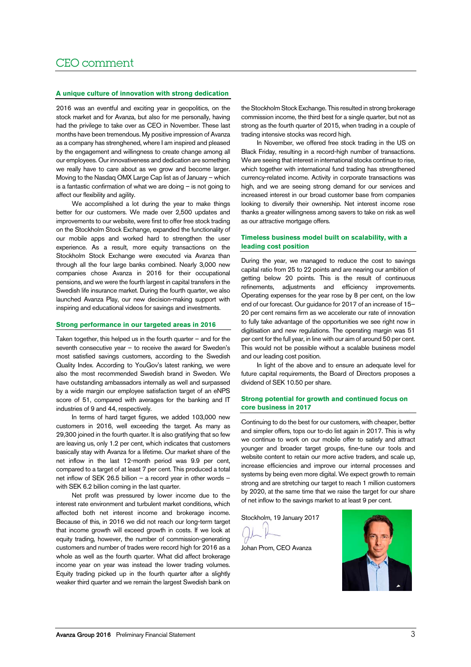# CEO comment

# **A unique culture of innovation with strong dedication**

2016 was an eventful and exciting year in geopolitics, on the stock market and for Avanza, but also for me personally, having had the privilege to take over as CEO in November. These last months have been tremendous. My positive impression of Avanza as a company has strenghened, where I am inspired and pleased by the engagement and willingness to create change among all our employees. Our innovativeness and dedication are something we really have to care about as we grow and become larger. Moving to the Nasdaq OMX Large Cap list as of January – which is a fantastic confirmation of what we are doing – is not going to affect our flexibility and agility.

We accomplished a lot during the year to make things better for our customers. We made over 2,500 updates and improvements to our website, were first to offer free stock trading on the Stockholm Stock Exchange, expanded the functionality of our mobile apps and worked hard to strengthen the user experience. As a result, more equity transactions on the Stockholm Stock Exchange were executed via Avanza than through all the four large banks combined. Nearly 3,000 new companies chose Avanza in 2016 for their occupational pensions, and we were the fourth largest in capital transfers in the Swedish life insurance market. During the fourth quarter, we also launched Avanza Play, our new decision-making support with inspiring and educational videos for savings and investments.

#### **Strong performance in our targeted areas in 2016**

Taken together, this helped us in the fourth quarter – and for the seventh consecutive year – to receive the award for Sweden's most satisfied savings customers, according to the Swedish Quality Index. According to YouGov's latest ranking, we were also the most recommended Swedish brand in Sweden. We have outstanding ambassadors internally as well and surpassed by a wide margin our employee satisfaction target of an eNPS score of 51, compared with averages for the banking and IT industries of 9 and 44, respectively.

In terms of hard target figures, we added 103,000 new customers in 2016, well exceeding the target. As many as 29,300 joined in the fourth quarter. It is also gratifying that so few are leaving us, only 1.2 per cent, which indicates that customers basically stay with Avanza for a lifetime. Our market share of the net inflow in the last 12-month period was 9.9 per cent, compared to a target of at least 7 per cent. This produced a total net inflow of SEK 26.5 billion – a record year in other words – with SEK 6.2 billion coming in the last quarter.

Net profit was pressured by lower income due to the interest rate environment and turbulent market conditions, which affected both net interest income and brokerage income. Because of this, in 2016 we did not reach our long-term target that income growth will exceed growth in costs. If we look at equity trading, however, the number of commission-generating customers and number of trades were record high for 2016 as a whole as well as the fourth quarter. What did affect brokerage income year on year was instead the lower trading volumes. Equity trading picked up in the fourth quarter after a slightly weaker third quarter and we remain the largest Swedish bank on

the Stockholm Stock Exchange. This resulted in strong brokerage commission income, the third best for a single quarter, but not as strong as the fourth quarter of 2015, when trading in a couple of trading intensive stocks was record high.

In November, we offered free stock trading in the US on Black Friday, resulting in a record-high number of transactions. We are seeing that interest in international stocks continue to rise, which together with international fund trading has strengthened currency-related income. Activity in corporate transactions was high, and we are seeing strong demand for our services and increased interest in our broad customer base from companies looking to diversify their ownership. Net interest income rose thanks a greater willingness among savers to take on risk as well as our attractive mortgage offers.

# **Timeless business model built on scalability, with a leading cost position**

During the year, we managed to reduce the cost to savings capital ratio from 25 to 22 points and are nearing our ambition of getting below 20 points. This is the result of continuous refinements, adjustments and efficiency improvements. Operating expenses for the year rose by 8 per cent, on the low end of our forecast. Our guidance for 2017 of an increase of 15– 20 per cent remains firm as we accelerate our rate of innovation to fully take advantage of the opportunities we see right now in digitisation and new regulations. The operating margin was 51 per cent for the full year, in line with our aim of around 50 per cent. This would not be possible without a scalable business model and our leading cost position.

In light of the above and to ensure an adequate level for future capital requirements, the Board of Directors proposes a dividend of SEK 10.50 per share.

### **Strong potential for growth and continued focus on core business in 2017**

Continuing to do the best for our customers, with cheaper, better and simpler offers, tops our to-do list again in 2017. This is why we continue to work on our mobile offer to satisfy and attract younger and broader target groups, fine-tune our tools and website content to retain our more active traders, and scale up, increase efficiencies and improve our internal processes and systems by being even more digital. We expect growth to remain strong and are stretching our target to reach 1 million customers by 2020, at the same time that we raise the target for our share of net inflow to the savings market to at least 9 per cent.

Stockholm, 19 January 2017

Johan Prom, CEO Avanza

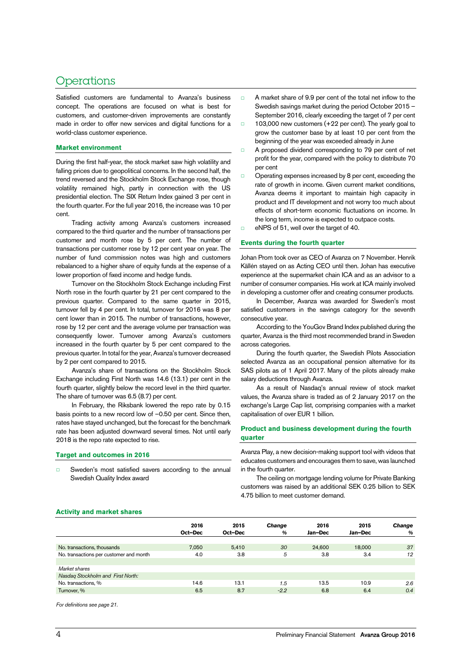# Operations

Satisfied customers are fundamental to Avanza's business concept. The operations are focused on what is best for customers, and customer-driven improvements are constantly made in order to offer new services and digital functions for a world-class customer experience.

### **Market environment**

During the first half-year, the stock market saw high volatility and falling prices due to geopolitical concerns. In the second half, the trend reversed and the Stockholm Stock Exchange rose, though volatility remained high, partly in connection with the US presidential election. The SIX Return Index gained 3 per cent in the fourth quarter. For the full year 2016, the increase was 10 per cent.

Trading activity among Avanza's customers increased compared to the third quarter and the number of transactions per customer and month rose by 5 per cent. The number of transactions per customer rose by 12 per cent year on year. The number of fund commission notes was high and customers rebalanced to a higher share of equity funds at the expense of a lower proportion of fixed income and hedge funds.

Turnover on the Stockholm Stock Exchange including First North rose in the fourth quarter by 21 per cent compared to the previous quarter. Compared to the same quarter in 2015, turnover fell by 4 per cent. In total, turnover for 2016 was 8 per cent lower than in 2015. The number of transactions, however, rose by 12 per cent and the average volume per transaction was consequently lower. Turnover among Avanza's customers increased in the fourth quarter by 5 per cent compared to the previous quarter. In total for the year, Avanza's turnover decreased by 2 per cent compared to 2015.

Avanza's share of transactions on the Stockholm Stock Exchange including First North was 14.6 (13.1) per cent in the fourth quarter, slightly below the record level in the third quarter. The share of turnover was 6.5 (8.7) per cent.

In February, the Riksbank lowered the repo rate by 0.15 basis points to a new record low of –0.50 per cent. Since then, rates have stayed unchanged, but the forecast for the benchmark rate has been adjusted downward several times. Not until early 2018 is the repo rate expected to rise.

#### **Target and outcomes in 2016**

□ Sweden's most satisfied savers according to the annual Swedish Quality Index award

- A market share of 9.9 per cent of the total net inflow to the Swedish savings market during the period October 2015 – September 2016, clearly exceeding the target of 7 per cent
- □ 103,000 new customers (+22 per cent). The yearly goal to grow the customer base by at least 10 per cent from the beginning of the year was exceeded already in June
- □ A proposed dividend corresponding to 79 per cent of net profit for the year, compared with the policy to distribute 70 per cent
- □ Operating expenses increased by 8 per cent, exceeding the rate of growth in income. Given current market conditions, Avanza deems it important to maintain high capacity in product and IT development and not worry too much about effects of short-term economic fluctuations on income. In the long term, income is expected to outpace costs.
- □ eNPS of 51, well over the target of 40.

### **Events during the fourth quarter**

Johan Prom took over as CEO of Avanza on 7 November. Henrik Källén stayed on as Acting CEO until then. Johan has executive experience at the supermarket chain ICA and as an advisor to a number of consumer companies. His work at ICA mainly involved in developing a customer offer and creating consumer products.

In December, Avanza was awarded for Sweden's most satisfied customers in the savings category for the seventh consecutive year.

According to the YouGov Brand Index published during the quarter, Avanza is the third most recommended brand in Sweden across categories.

During the fourth quarter, the Swedish Pilots Association selected Avanza as an occupational pension alternative for its SAS pilots as of 1 April 2017. Many of the pilots already make salary deductions through Avanza.

As a result of Nasdaq's annual review of stock market values, the Avanza share is traded as of 2 January 2017 on the exchange's Large Cap list, comprising companies with a market capitalisation of over EUR 1 billion.

# **Product and business development during the fourth quarter**

Avanza Play, a new decision-making support tool with videos that educates customers and encourages them to save, was launched in the fourth quarter.

The ceiling on mortgage lending volume for Private Banking customers was raised by an additional SEK 0.25 billion to SEK 4.75 billion to meet customer demand.

#### **Activity and market shares**

| 2016<br>Oct-Dec | 2015<br>Oct-Dec | Change<br>$\%$ | 2016<br>Jan-Dec | 2015<br>Jan-Dec | <b>Change</b><br>$\%$ |
|-----------------|-----------------|----------------|-----------------|-----------------|-----------------------|
| 7,050           | 5.410           | 30             | 24,600          | 18,000          | 37                    |
| 4.0             | 3.8             | 5              | 3.8             | 3.4             | 12                    |
|                 |                 |                |                 |                 |                       |
|                 |                 |                |                 |                 |                       |
|                 |                 |                |                 |                 |                       |
| 14.6            | 13.1            | 1.5            | 13.5            | 10.9            | 2.6                   |
| 6.5             | 8.7             | $-2.2$         | 6.8             | 6.4             | 0.4                   |
|                 |                 |                |                 |                 |                       |

For definitions see page 21.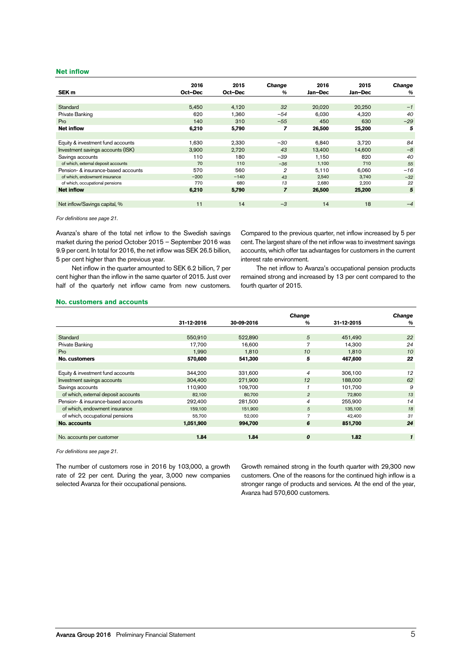#### **Net inflow**

|                                     | 2016    | 2015    | <b>Change</b>  | 2016    | 2015    | <b>Change</b> |
|-------------------------------------|---------|---------|----------------|---------|---------|---------------|
| SEK <sub>m</sub>                    | Oct-Dec | Oct-Dec | %              | Jan-Dec | Jan-Dec | %             |
|                                     |         |         |                |         |         |               |
| Standard                            | 5,450   | 4,120   | 32             | 20,020  | 20,250  | $-1$          |
| Private Banking                     | 620     | 1,360   | $-54$          | 6,030   | 4,320   | 40            |
| Pro                                 | 140     | 310     | $-55$          | 450     | 630     | $-29$         |
| <b>Net inflow</b>                   | 6,210   | 5,790   | 7              | 26,500  | 25,200  | 5             |
|                                     |         |         |                |         |         |               |
| Equity & investment fund accounts   | 1,630   | 2.330   | $-30$          | 6.840   | 3.720   | 84            |
| Investment savings accounts (ISK)   | 3,900   | 2,720   | 43             | 13.400  | 14.600  | $-8$          |
| Savings accounts                    | 110     | 180     | $-39$          | 1.150   | 820     | 40            |
| of which, external deposit accounts | 70      | 110     | $-36$          | 1.100   | 710     | 55            |
| Pension- & insurance-based accounts | 570     | 560     | $\overline{2}$ | 5,110   | 6.060   | $-16$         |
| of which, endowment insurance       | $-200$  | $-140$  | 43             | 2,540   | 3,740   | $-32$         |
| of which, occupational pensions     | 770     | 680     | 13             | 2,680   | 2,200   | 22            |
| <b>Net inflow</b>                   | 6,210   | 5,790   | $\overline{z}$ | 26,500  | 25,200  | 5             |
|                                     |         |         |                |         |         |               |
| Net inflow/Savings capital, %       | 11      | 14      | $-3$           | 14      | 18      | $-4$          |

For definitions see page 21.

Avanza's share of the total net inflow to the Swedish savings market during the period October 2015 – September 2016 was 9.9 per cent. In total for 2016, the net inflow was SEK 26.5 billion, 5 per cent higher than the previous year.

Net inflow in the quarter amounted to SEK 6.2 billion, 7 per cent higher than the inflow in the same quarter of 2015. Just over half of the quarterly net inflow came from new customers.

Compared to the previous quarter, net inflow increased by 5 per cent. The largest share of the net inflow was to investment savings accounts, which offer tax advantages for customers in the current interest rate environment.

The net inflow to Avanza's occupational pension products remained strong and increased by 13 per cent compared to the fourth quarter of 2015.

#### **No. customers and accounts**

|                                     |            |            | <b>Change</b>  |            | <b>Change</b> |
|-------------------------------------|------------|------------|----------------|------------|---------------|
|                                     | 31-12-2016 | 30-09-2016 | $\frac{a}{b}$  | 31-12-2015 | $\%$          |
|                                     |            |            |                |            |               |
| <b>Standard</b>                     | 550.910    | 522,890    | 5              | 451.490    | 22            |
| Private Banking                     | 17.700     | 16.600     | 7              | 14.300     | 24            |
| Pro                                 | 1.990      | 1.810      | 10             | 1.810      | 10            |
| No. customers                       | 570,600    | 541,300    | 5              | 467,600    | 22            |
|                                     |            |            |                |            |               |
| Equity & investment fund accounts   | 344,200    | 331,600    | $\overline{4}$ | 306,100    | 12            |
| Investment savings accounts         | 304,400    | 271,900    | 12             | 188,000    | 62            |
| Savings accounts                    | 110.900    | 109.700    |                | 101.700    | 9             |
| of which, external deposit accounts | 82,100     | 80,700     | $\overline{2}$ | 72,800     | 13            |
| Pension- & insurance-based accounts | 292,400    | 281.500    | $\overline{4}$ | 255.900    | 14            |
| of which, endowment insurance       | 159,100    | 151,900    | 5              | 135,100    | 18            |
| of which, occupational pensions     | 55,700     | 52,000     | 7              | 42,400     | 31            |
| No. accounts                        | 1,051,900  | 994,700    | 6              | 851,700    | 24            |
|                                     |            |            |                |            |               |
| No. accounts per customer           | 1.84       | 1.84       | 0              | 1.82       | $\mathbf{1}$  |

For definitions see page 21.

The number of customers rose in 2016 by 103,000, a growth rate of 22 per cent. During the year, 3,000 new companies selected Avanza for their occupational pensions.

Growth remained strong in the fourth quarter with 29,300 new customers. One of the reasons for the continued high inflow is a stronger range of products and services. At the end of the year, Avanza had 570,600 customers.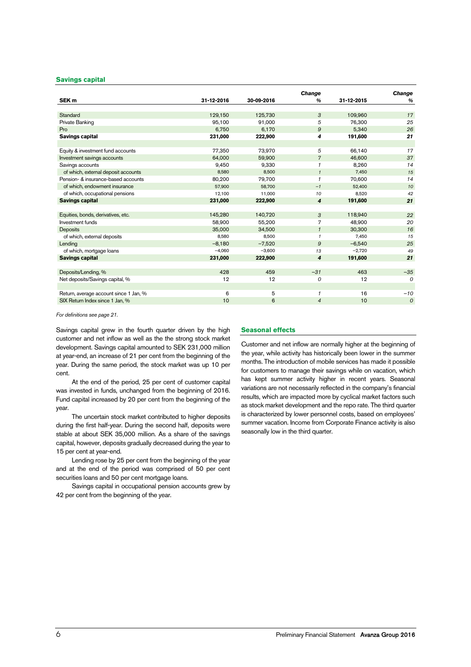#### **Savings capital**

|            |            | Change           |            | Change         |
|------------|------------|------------------|------------|----------------|
| 31-12-2016 | 30-09-2016 | $\frac{9}{6}$    | 31-12-2015 | %              |
|            |            |                  |            |                |
| 129,150    | 125,730    | 3                | 109,960    | 17             |
| 95,100     | 91,000     | 5                | 76,300     | 25             |
| 6,750      | 6,170      | $\mathfrak{g}$   | 5,340      | 26             |
| 231,000    | 222,900    | 4                | 191,600    | 21             |
|            |            |                  |            |                |
| 77,350     | 73,970     | 5                | 66,140     | 17             |
| 64,000     | 59,900     | $\overline{7}$   | 46,600     | 37             |
| 9,450      | 9,330      | $\mathcal I$     | 8,260      | 14             |
| 8,580      | 8,500      | $\mathbf{1}$     | 7,450      | 15             |
| 80,200     | 79,700     | $\mathbf{1}$     | 70,600     | 14             |
| 57,900     | 58,700     | $-1$             | 52,400     | 10             |
| 12,100     | 11,000     | 10               | 8,520      | 42             |
| 231,000    | 222,900    | 4                | 191,600    | 21             |
|            |            |                  |            |                |
| 145,280    | 140,720    | 3                | 118,940    | 22             |
| 58.900     | 55,200     | 7                | 48,900     | 20             |
| 35.000     | 34.500     | $\mathbf{1}$     | 30,300     | 16             |
| 8,580      | 8,500      | $\mathbf{1}$     | 7,450      | 15             |
| $-8,180$   | $-7,520$   | 9                | $-6.540$   | 25             |
| $-4,060$   | $-3,600$   | 13               | $-2,720$   | 49             |
| 231,000    | 222,900    | $\boldsymbol{4}$ | 191,600    | 21             |
|            |            |                  |            |                |
| 428        | 459        | $-31$            | 463        | $-35$          |
| 12         | 12         | 0                | 12         | $\Omega$       |
|            |            |                  |            |                |
| 6          | 5          | $\mathbf{1}$     | 16         | $-10$          |
| 10         | 6          | $\overline{4}$   | 10         | $\overline{O}$ |
|            |            |                  |            |                |

For definitions see page 21.

Savings capital grew in the fourth quarter driven by the high customer and net inflow as well as the the strong stock market development. Savings capital amounted to SEK 231,000 million at year-end, an increase of 21 per cent from the beginning of the year. During the same period, the stock market was up 10 per cent.

At the end of the period, 25 per cent of customer capital was invested in funds, unchanged from the beginning of 2016. Fund capital increased by 20 per cent from the beginning of the year.

The uncertain stock market contributed to higher deposits during the first half-year. During the second half, deposits were stable at about SEK 35,000 million. As a share of the savings capital, however, deposits gradually decreased during the year to 15 per cent at year-end.

Lending rose by 25 per cent from the beginning of the year and at the end of the period was comprised of 50 per cent securities loans and 50 per cent mortgage loans.

Savings capital in occupational pension accounts grew by 42 per cent from the beginning of the year.

### **Seasonal effects**

Customer and net inflow are normally higher at the beginning of the year, while activity has historically been lower in the summer months. The introduction of mobile services has made it possible for customers to manage their savings while on vacation, which has kept summer activity higher in recent years. Seasonal variations are not necessarily reflected in the company's financial results, which are impacted more by cyclical market factors such as stock market development and the repo rate. The third quarter is characterized by lower personnel costs, based on employees' summer vacation. Income from Corporate Finance activity is also seasonally low in the third quarter.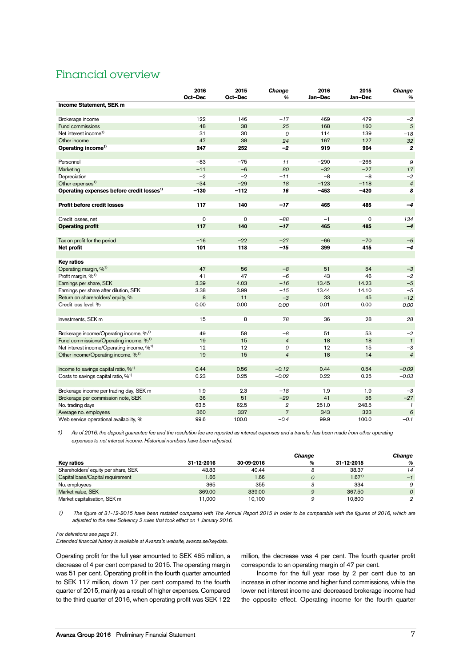# Financial overview

|                                                       | 2016<br>Oct-Dec | 2015<br>Oct-Dec | <b>Change</b><br>% | 2016<br>Jan-Dec | 2015<br>Jan-Dec | Change<br>%    |
|-------------------------------------------------------|-----------------|-----------------|--------------------|-----------------|-----------------|----------------|
| Income Statement, SEK m                               |                 |                 |                    |                 |                 |                |
|                                                       |                 |                 |                    |                 |                 |                |
| Brokerage income                                      | 122             | 146             | $-17$              | 469             | 479             | $-2$           |
| Fund commissions                                      | 48              | 38              | 25                 | 168             | 160             | $\sqrt{5}$     |
| Net interest income <sup>1)</sup>                     | 31              | 30              | 0                  | 114             | 139             | $-18$          |
| Other income                                          | 47              | 38              | 24                 | 167             | 127             | 32             |
| Operating income <sup>1)</sup>                        | 247             | 252             | $-2$               | 919             | 904             | $\mathbf{2}$   |
|                                                       |                 |                 |                    |                 |                 |                |
| Personnel                                             | $-83$           | $-75$           | 11                 | $-290$          | $-266$          | 9              |
| Marketing                                             | $-11$           | $-6$            | 80                 | $-32$           | $-27$           | 17             |
| Depreciation                                          | $-2$            | $-2$            | $-11$              | $-8$            | $-8$            | $-2$           |
| Other expenses <sup>1)</sup>                          | $-34$           | $-29$           | 18                 | $-123$          | $-118$          | $\overline{4}$ |
| Operating expenses before credit losses <sup>1)</sup> | $-130$          | $-112$          | 16                 | $-453$          | $-420$          | 8              |
|                                                       |                 |                 |                    |                 |                 |                |
| Profit before credit losses                           | 117             | 140             | $-17$              | 465             | 485             | $-4$           |
|                                                       |                 |                 |                    |                 |                 |                |
| Credit losses, net                                    | $\Omega$        | $\mathbf 0$     | $-88$              | $-1$            | 0               | 134            |
| <b>Operating profit</b>                               | 117             | 140             | $-17$              | 465             | 485             | $-4$           |
|                                                       |                 |                 |                    |                 |                 |                |
| Tax on profit for the period                          | $-16$           | $-22$           | $-27$              | $-66$           | $-70$           | $-6$           |
| Net profit                                            | 101             | 118             | $-15$              | 399             | 415             | $-4$           |
|                                                       |                 |                 |                    |                 |                 |                |
| <b>Key ratios</b>                                     |                 |                 |                    |                 |                 |                |
| Operating margin, % <sup>1)</sup>                     | 47              | 56              | $-8$               | 51              | 54              | $-3$           |
| Profit margin, % <sup>1)</sup>                        | 41              | 47              | $-6$               | 43              | 46              | $-2$           |
| Earnings per share, SEK                               | 3.39            | 4.03            | $-16$              | 13.45           | 14.23           | $-5$           |
| Earnings per share after dilution, SEK                | 3.38            | 3.99            | $-15$              | 13.44           | 14.10           | $-5$           |
| Return on shareholders' equity, %                     | 8               | 11              | $-3$               | 33              | 45              | $-12$          |
| Credit loss level, %                                  | 0.00            | 0.00            | 0.00               | 0.01            | 0.00            | 0.00           |
|                                                       |                 |                 |                    |                 |                 |                |
| Investments, SEK m                                    | 15              | 8               | 78                 | 36              | 28              | 28             |
|                                                       |                 |                 |                    |                 |                 |                |
| Brokerage income/Operating income, % <sup>1)</sup>    | 49              | 58              | $-8$               | 51              | 53              | $-2$           |
| Fund commissions/Operating income, % <sup>1)</sup>    | 19              | 15              | $\overline{4}$     | 18              | 18              | $\mathbf{1}$   |
| Net interest income/Operating income, % <sup>1)</sup> | 12              | 12              | 0                  | 12              | 15              | $-3$           |
| Other income/Operating income, % <sup>1)</sup>        | 19              | 15              | $\overline{4}$     | 18              | 14              | $\overline{4}$ |
|                                                       |                 |                 |                    |                 |                 |                |
| Income to savings capital ratio, $\%$ <sup>1)</sup>   | 0.44            | 0.56            | $-0.12$            | 0.44            | 0.54            | $-0.09$        |
| Costs to savings capital ratio, $\%^{1}$              | 0.23            | 0.25            | $-0.02$            | 0.22            | 0.25            | $-0.03$        |
|                                                       |                 |                 |                    |                 |                 |                |
| Brokerage income per trading day, SEK m               | 1.9             | 2.3             | $-18$              | 1.9             | 1.9             | $-3$           |
| Brokerage per commission note, SEK                    | 36              | 51              | $-29$              | 41              | 56              | $-27$          |
| No. trading days                                      | 63.5            | 62.5            | 2                  | 251.0           | 248.5           | $\mathcal I$   |
| Average no. employees                                 | 360             | 337             | $\overline{7}$     | 343             | 323             | $\epsilon$     |
| Web service operational availability, %               | 99.6            | 100.0           | $-0.4$             | 99.9            | 100.0           | $-0.1$         |

1) As of 2016, the deposit guarantee fee and the resolution fee are reported as interest expenses and a transfer has been made from other operating expenses to net interest income. Historical numbers have been adjusted.

|                                     |            |            | Change |            | Change   |
|-------------------------------------|------------|------------|--------|------------|----------|
| Key ratios                          | 31-12-2016 | 30-09-2016 | %      | 31-12-2015 | %        |
| Shareholders' equity per share, SEK | 43.83      | 40.44      |        | 38.37      | 14       |
| Capital base/Capital requirement    | 1.66       | 1.66       |        | $1.67^{1}$ | $-1$     |
| No. employees                       | 365        | 355        |        | 334        | 9        |
| Market value, SEK                   | 369.00     | 339.00     | 9      | 367.50     | $\Omega$ |
| Market capitalisation, SEK m        | 11.000     | 10.100     |        | 10.800     | 2        |

1) The figure of 31-12-2015 have been restated compared with The Annual Report 2015 in order to be comparable with the figures of 2016, which are adjusted to the new Solvency 2 rules that took effect on 1 January 2016.

For definitions see page 21.

Extended financial history is available at Avanza's website, avanza.se/keydata.

Operating profit for the full year amounted to SEK 465 million, a decrease of 4 per cent compared to 2015. The operating margin was 51 per cent. Operating profit in the fourth quarter amounted to SEK 117 million, down 17 per cent compared to the fourth quarter of 2015, mainly as a result of higher expenses. Compared to the third quarter of 2016, when operating profit was SEK 122

million, the decrease was 4 per cent. The fourth quarter profit corresponds to an operating margin of 47 per cent.

Income for the full year rose by 2 per cent due to an increase in other income and higher fund commissions, while the lower net interest income and decreased brokerage income had the opposite effect. Operating income for the fourth quarter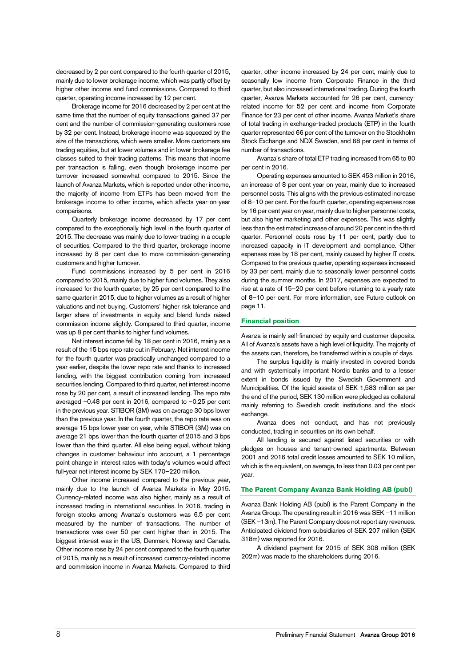decreased by 2 per cent compared to the fourth quarter of 2015, mainly due to lower brokerage income, which was partly offset by higher other income and fund commissions. Compared to third quarter, operating income increased by 12 per cent.

Brokerage income for 2016 decreased by 2 per cent at the same time that the number of equity transactions gained 37 per cent and the number of commission-generating customers rose by 32 per cent. Instead, brokerage income was squeezed by the size of the transactions, which were smaller. More customers are trading equities, but at lower volumes and in lower brokerage fee classes suited to their trading patterns. This means that income per transaction is falling, even though brokerage income per turnover increased somewhat compared to 2015. Since the launch of Avanza Markets, which is reported under other income, the majority of income from ETPs has been moved from the brokerage income to other income, which affects year-on-year comparisons.

Quarterly brokerage income decreased by 17 per cent compared to the exceptionally high level in the fourth quarter of 2015. The decrease was mainly due to lower trading in a couple of securities. Compared to the third quarter, brokerage income increased by 8 per cent due to more commission-generating customers and higher turnover.

Fund commissions increased by 5 per cent in 2016 compared to 2015, mainly due to higher fund volumes. They also increased for the fourth quarter, by 25 per cent compared to the same quarter in 2015, due to higher volumes as a result of higher valuations and net buying. Customers' higher risk tolerance and larger share of investments in equity and blend funds raised commission income slightly. Compared to third quarter, income was up 8 per cent thanks to higher fund volumes.

Net interest income fell by 18 per cent in 2016, mainly as a result of the 15 bps repo rate cut in February. Net interest income for the fourth quarter was practically unchanged compared to a year earlier, despite the lower repo rate and thanks to increased lending, with the biggest contribution coming from increased securities lending. Compared to third quarter, net interest income rose by 20 per cent, a result of increased lending. The repo rate averaged –0.48 per cent in 2016, compared to –0.25 per cent in the previous year. STIBOR (3M) was on average 30 bps lower than the previous year. In the fourth quarter, the repo rate was on average 15 bps lower year on year, while STIBOR (3M) was on average 21 bps lower than the fourth quarter of 2015 and 3 bps lower than the third quarter. All else being equal, without taking changes in customer behaviour into account, a 1 percentage point change in interest rates with today's volumes would affect full-year net interest income by SEK 170–220 million.

Other income increased compared to the previous year, mainly due to the launch of Avanza Markets in May 2015. Currency-related income was also higher, mainly as a result of increased trading in international securities. In 2016, trading in foreign stocks among Avanza's customers was 6.5 per cent measured by the number of transactions. The number of transactions was over 50 per cent higher than in 2015. The biggest interest was in the US, Denmark, Norway and Canada. Other income rose by 24 per cent compared to the fourth quarter of 2015, mainly as a result of increased currency-related income and commission income in Avanza Markets. Compared to third

quarter, other income increased by 24 per cent, mainly due to seasonally low income from Corporate Finance in the third quarter, but also increased international trading. During the fourth quarter, Avanza Markets accounted for 26 per cent, currencyrelated income for 52 per cent and income from Corporate Finance for 23 per cent of other income. Avanza Market's share of total trading in exchange-traded products (ETP) in the fourth quarter represented 66 per cent of the turnover on the Stockholm Stock Exchange and NDX Sweden, and 68 per cent in terms of number of transactions.

Avanza's share of total ETP trading increased from 65 to 80 per cent in 2016.

Operating expenses amounted to SEK 453 million in 2016, an increase of 8 per cent year on year, mainly due to increased personnel costs. This aligns with the previous estimated increase of 8–10 per cent. For the fourth quarter, operating expenses rose by 16 per cent year on year, mainly due to higher personnel costs, but also higher marketing and other expenses. This was slightly less than the estimated increase of around 20 per cent in the third quarter. Personnel costs rose by 11 per cent, partly due to increased capacity in IT development and compliance. Other expenses rose by 18 per cent, mainly caused by higher IT costs. Compared to the previous quarter, operating expenses increased by 33 per cent, mainly due to seasonally lower personnel costs during the summer months. In 2017, expenses are expected to rise at a rate of 15–20 per cent before returning to a yearly rate of 8–10 per cent. For more information, see Future outlook on page 11.

### **Financial position**

Avanza is mainly self-financed by equity and customer deposits. All of Avanza's assets have a high level of liquidity. The majority of the assets can, therefore, be transferred within a couple of days.

The surplus liquidity is mainly invested in covered bonds and with systemically important Nordic banks and to a lesser extent in bonds issued by the Swedish Government and Municipalities. Of the liquid assets of SEK 1,583 million as per the end of the period, SEK 130 million were pledged as collateral mainly referring to Swedish credit institutions and the stock exchange.

Avanza does not conduct, and has not previously conducted, trading in securities on its own behalf.

All lending is secured against listed securities or with pledges on houses and tenant-owned apartments. Between 2001 and 2016 total credit losses amounted to SEK 10 million, which is the equivalent, on average, to less than 0.03 per cent per year.

### **The Parent Company Avanza Bank Holding AB (publ)**

Avanza Bank Holding AB (publ) is the Parent Company in the Avanza Group. The operating result in 2016 was SEK –11 million (SEK –13m). The Parent Company does not report any revenues. Anticipated dividend from subsidiaries of SEK 207 million (SEK 318m) was reported for 2016.

A dividend payment for 2015 of SEK 308 million (SEK 202m) was made to the shareholders during 2016.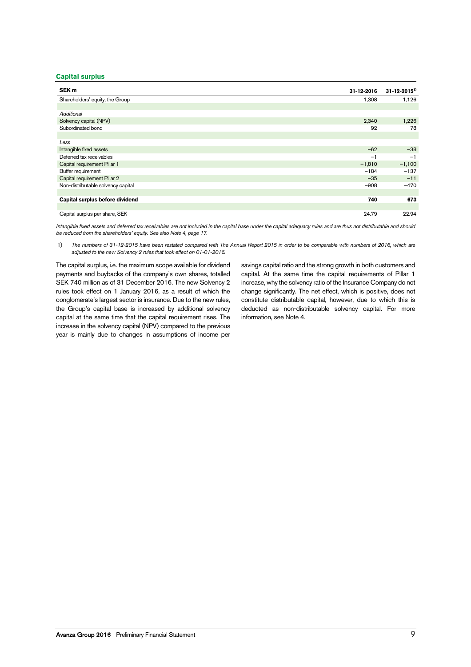# **Capital surplus**

| SEK <sub>m</sub>                   | 31-12-2016 | $31 - 12 - 2015$ <sup>1)</sup> |
|------------------------------------|------------|--------------------------------|
| Shareholders' equity, the Group    | 1,308      | 1,126                          |
|                                    |            |                                |
| Additional                         |            |                                |
| Solvency capital (NPV)             | 2,340      | 1,226                          |
| Subordinated bond                  | 92         | 78                             |
|                                    |            |                                |
| Less                               |            |                                |
| Intangible fixed assets            | $-62$      | $-38$                          |
| Deferred tax receivables           | $-1$       | $-1$                           |
| Capital requirement Pillar 1       | $-1,810$   | $-1,100$                       |
| Buffer requirement                 | $-184$     | $-137$                         |
| Capital requirement Pillar 2       | $-35$      | $-11$                          |
| Non-distributable solvency capital | $-908$     | $-470$                         |
|                                    |            |                                |
| Capital surplus before dividend    | 740        | 673                            |
|                                    |            |                                |
| Capital surplus per share, SEK     | 24.79      | 22.94                          |

Intangible fixed assets and deferred tax receivables are not included in the capital base under the capital adequacy rules and are thus not distributable and should be reduced from the shareholders' equity. See also Note 4, page 17.

1) The numbers of 31-12-2015 have been restated compared with The Annual Report 2015 in order to be comparable with numbers of 2016, which are adjusted to the new Solvency 2 rules that took effect on 01-01-2016.

The capital surplus, i.e. the maximum scope available for dividend payments and buybacks of the company's own shares, totalled SEK 740 million as of 31 December 2016. The new Solvency 2 rules took effect on 1 January 2016, as a result of which the conglomerate's largest sector is insurance. Due to the new rules, the Group's capital base is increased by additional solvency capital at the same time that the capital requirement rises. The increase in the solvency capital (NPV) compared to the previous year is mainly due to changes in assumptions of income per

savings capital ratio and the strong growth in both customers and capital. At the same time the capital requirements of Pillar 1 increase, why the solvency ratio of the Insurance Company do not change significantly. The net effect, which is positive, does not constitute distributable capital, however, due to which this is deducted as non-distributable solvency capital. For more information, see Note 4.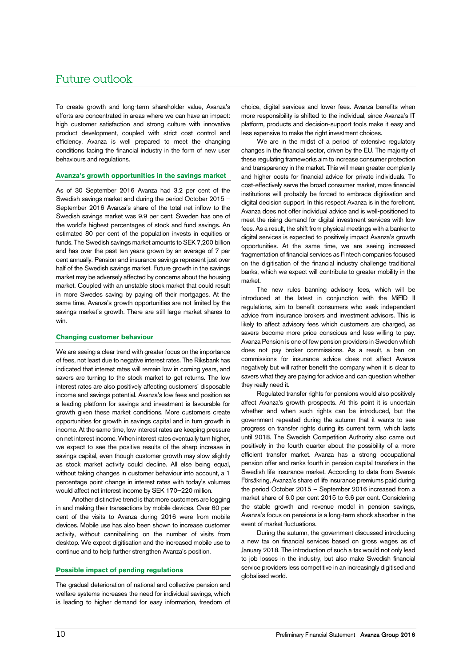# Future outlook

To create growth and long-term shareholder value, Avanza's efforts are concentrated in areas where we can have an impact: high customer satisfaction and strong culture with innovative product development, coupled with strict cost control and efficiency. Avanza is well prepared to meet the changing conditions facing the financial industry in the form of new user behaviours and regulations.

### **Avanza's growth opportunities in the savings market**

As of 30 September 2016 Avanza had 3.2 per cent of the Swedish savings market and during the period October 2015 – September 2016 Avanza's share of the total net inflow to the Swedish savings market was 9.9 per cent. Sweden has one of the world's highest percentages of stock and fund savings. An estimated 80 per cent of the population invests in equities or funds. The Swedish savings market amounts to SEK 7,200 billion and has over the past ten years grown by an average of 7 per cent annually. Pension and insurance savings represent just over half of the Swedish savings market. Future growth in the savings market may be adversely affected by concerns about the housing market. Coupled with an unstable stock market that could result in more Swedes saving by paying off their mortgages. At the same time, Avanza's growth opportunities are not limited by the savings market's growth. There are still large market shares to win.

### **Changing customer behaviour**

We are seeing a clear trend with greater focus on the importance of fees, not least due to negative interest rates. The Riksbank has indicated that interest rates will remain low in coming years, and savers are turning to the stock market to get returns. The low interest rates are also positively affecting customers' disposable income and savings potential. Avanza's low fees and position as a leading platform for savings and investment is favourable for growth given these market conditions. More customers create opportunities for growth in savings capital and in turn growth in income. At the same time, low interest rates are keeping pressure on net interest income. When interest rates eventually turn higher, we expect to see the positive results of the sharp increase in savings capital, even though customer growth may slow slightly as stock market activity could decline. All else being equal, without taking changes in customer behaviour into account, a 1 percentage point change in interest rates with today's volumes would affect net interest income by SEK 170–220 million.

Another distinctive trend is that more customers are logging in and making their transactions by mobile devices. Over 60 per cent of the visits to Avanza during 2016 were from mobile devices. Mobile use has also been shown to increase customer activity, without cannibalizing on the number of visits from desktop. We expect digitisation and the increased mobile use to continue and to help further strengthen Avanza's position.

#### **Possible impact of pending regulations**

The gradual deterioration of national and collective pension and welfare systems increases the need for individual savings, which is leading to higher demand for easy information, freedom of

choice, digital services and lower fees. Avanza benefits when more responsibility is shifted to the individual, since Avanza's IT platform, products and decision-support tools make it easy and less expensive to make the right investment choices.

We are in the midst of a period of extensive regulatory changes in the financial sector, driven by the EU. The majority of these regulating frameworks aim to increase consumer protection and transparency in the market. This will mean greater complexity and higher costs for financial advice for private individuals. To cost-effectively serve the broad consumer market, more financial institutions will probably be forced to embrace digitisation and digital decision support. In this respect Avanza is in the forefront. Avanza does not offer individual advice and is well-positioned to meet the rising demand for digital investment services with low fees. As a result, the shift from physical meetings with a banker to digital services is expected to positively impact Avanza's growth opportunities. At the same time, we are seeing increased fragmentation of financial services as Fintech companies focused on the digitisation of the financial industry challenge traditional banks, which we expect will contribute to greater mobility in the market.

The new rules banning advisory fees, which will be introduced at the latest in conjunction with the MiFID II regulations, aim to benefit consumers who seek independent advice from insurance brokers and investment advisors. This is likely to affect advisory fees which customers are charged, as savers become more price conscious and less willing to pay. Avanza Pension is one of few pension providers in Sweden which does not pay broker commissions. As a result, a ban on commissions for insurance advice does not affect Avanza negatively but will rather benefit the company when it is clear to savers what they are paying for advice and can question whether they really need it.

Regulated transfer rights for pensions would also positively affect Avanza's growth prospects. At this point it is uncertain whether and when such rights can be introduced, but the government repeated during the autumn that it wants to see progress on transfer rights during its current term, which lasts until 2018. The Swedish Competition Authority also came out positively in the fourth quarter about the possibility of a more efficient transfer market. Avanza has a strong occupational pension offer and ranks fourth in pension capital transfers in the Swedish life insurance market. According to data from Svensk Försäkring, Avanza's share of life insurance premiums paid during the period October 2015 – September 2016 increased from a market share of 6.0 per cent 2015 to 6.6 per cent. Considering the stable growth and revenue model in pension savings, Avanza's focus on pensions is a long-term shock absorber in the event of market fluctuations.

During the autumn, the government discussed introducing a new tax on financial services based on gross wages as of January 2018. The introduction of such a tax would not only lead to job losses in the industry, but also make Swedish financial service providers less competitive in an increasingly digitised and globalised world.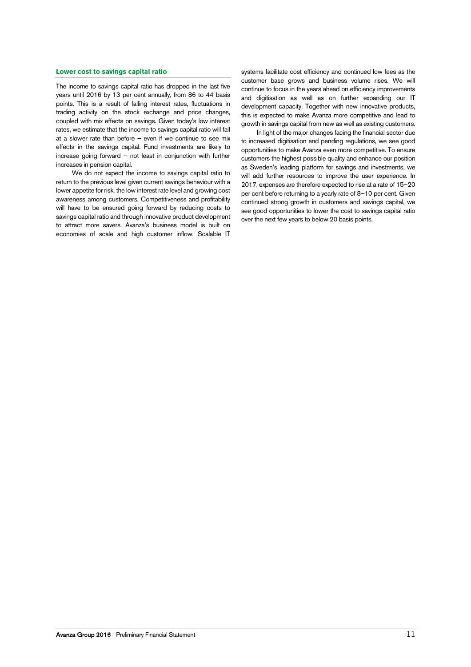### **Lower cost to savings capital ratio**

The income to savings capital ratio has dropped in the last five years until 2016 by 13 per cent annually, from 86 to 44 basis points. This is a result of falling interest rates, fluctuations in trading activity on the stock exchange and price changes, coupled with mix effects on savings. Given today's low interest rates, we estimate that the income to savings capital ratio will fall at a slower rate than before – even if we continue to see mix effects in the savings capital. Fund investments are likely to increase going forward – not least in conjunction with further increases in pension capital.

We do not expect the income to savings capital ratio to return to the previous level given current savings behaviour with a lower appetite for risk, the low interest rate level and growing cost awareness among customers. Competitiveness and profitability will have to be ensured going forward by reducing costs to savings capital ratio and through innovative product development to attract more savers. Avanza's business model is built on economies of scale and high customer inflow. Scalable IT

systems facilitate cost efficiency and continued low fees as the customer base grows and business volume rises. We will continue to focus in the years ahead on efficiency improvements and digitisation as well as on further expanding our IT development capacity. Together with new innovative products, this is expected to make Avanza more competitive and lead to growth in savings capital from new as well as existing customers.

In light of the major changes facing the financial sector due to increased digitisation and pending regulations, we see good opportunities to make Avanza even more competitive. To ensure customers the highest possible quality and enhance our position as Sweden's leading platform for savings and investments, we will add further resources to improve the user experience. In 2017, expenses are therefore expected to rise at a rate of 15–20 per cent before returning to a yearly rate of 8–10 per cent. Given continued strong growth in customers and savings capital, we see good opportunities to lower the cost to savings capital ratio over the next few years to below 20 basis points.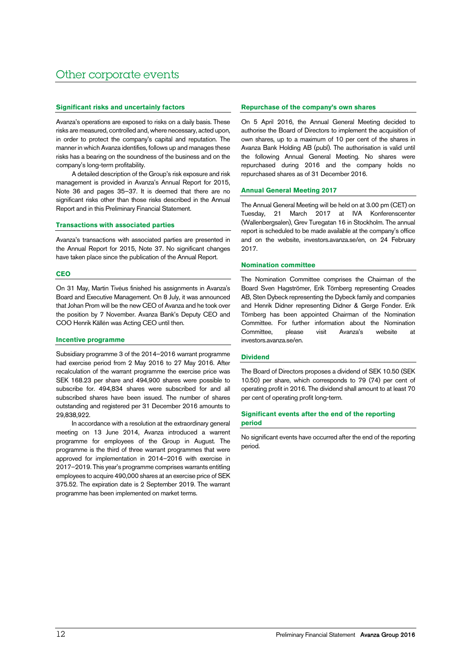# **Significant risks and uncertainly factors**

Avanza's operations are exposed to risks on a daily basis. These risks are measured, controlled and, where necessary, acted upon, in order to protect the company's capital and reputation. The manner in which Avanza identifies, follows up and manages these risks has a bearing on the soundness of the business and on the company's long-term profitability.

A detailed description of the Group's risk exposure and risk management is provided in Avanza's Annual Report for 2015, Note 36 and pages 35–37. It is deemed that there are no significant risks other than those risks described in the Annual Report and in this Preliminary Financial Statement.

### **Transactions with associated parties**

Avanza's transactions with associated parties are presented in the Annual Report for 2015, Note 37. No significant changes have taken place since the publication of the Annual Report.

### **CEO**

On 31 May, Martin Tivéus finished his assignments in Avanza's Board and Executive Management. On 8 July, it was announced that Johan Prom will be the new CEO of Avanza and he took over the position by 7 November. Avanza Bank's Deputy CEO and COO Henrik Källén was Acting CEO until then.

# **Incentive programme**

Subsidiary programme 3 of the 2014–2016 warrant programme had exercise period from 2 May 2016 to 27 May 2016. After recalculation of the warrant programme the exercise price was SEK 168.23 per share and 494,900 shares were possible to subscribe for. 494,834 shares were subscribed for and all subscribed shares have been issued. The number of shares outstanding and registered per 31 December 2016 amounts to 29,838,922.

In accordance with a resolution at the extraordinary general meeting on 13 June 2014, Avanza introduced a warrent programme for employees of the Group in August. The programme is the third of three warrant programmes that were approved for implementation in 2014–2016 with exercise in 2017–2019. This year's programme comprises warrants entitling employees to acquire 490,000 shares at an exercise price of SEK 375.52. The expiration date is 2 September 2019. The warrant programme has been implemented on market terms.

# **Repurchase of the company's own shares**

On 5 April 2016, the Annual General Meeting decided to authorise the Board of Directors to implement the acquisition of own shares, up to a maximum of 10 per cent of the shares in Avanza Bank Holding AB (publ). The authorisation is valid until the following Annual General Meeting. No shares were repurchased during 2016 and the company holds no repurchased shares as of 31 December 2016.

# **Annual General Meeting 2017**

The Annual General Meeting will be held on at 3.00 pm (CET) on Tuesday, 21 March 2017 at IVA Konferenscenter (Wallenbergsalen), Grev Turegatan 16 in Stockholm. The annual report is scheduled to be made available at the company's office and on the website, investors.avanza.se/en, on 24 February 2017.

# **Nomination committee**

The Nomination Committee comprises the Chairman of the Board Sven Hagströmer, Erik Törnberg representing Creades AB, Sten Dybeck representing the Dybeck family and companies and Henrik Didner representing Didner & Gerge Fonder. Erik Törnberg has been appointed Chairman of the Nomination Committee. For further information about the Nomination Committee, please visit Avanza's website at investors.avanza.se/en.

# **Dividend**

The Board of Directors proposes a dividend of SEK 10.50 (SEK 10.50) per share, which corresponds to 79 (74) per cent of operating profit in 2016. The dividend shall amount to at least 70 per cent of operating profit long-term.

# **Significant events after the end of the reporting period**

No significant events have occurred after the end of the reporting period.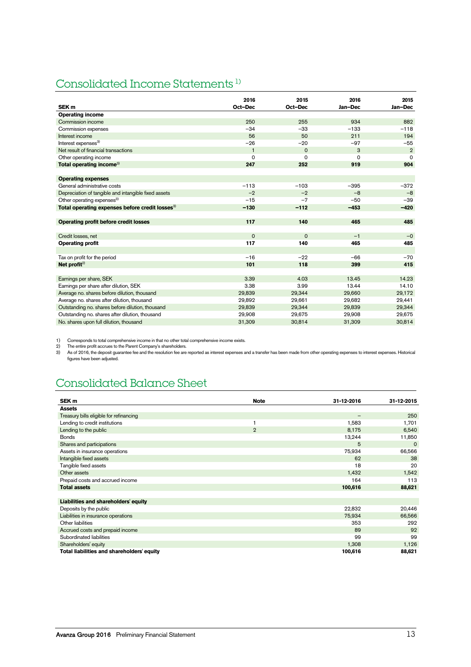# Consolidated Income Statements 1)

|                                                             | 2016         | 2015     | 2016     | 2015           |
|-------------------------------------------------------------|--------------|----------|----------|----------------|
| SEK <sub>m</sub>                                            | Oct-Dec      | Oct-Dec  | Jan-Dec  | Jan-Dec        |
| <b>Operating income</b>                                     |              |          |          |                |
| Commission income                                           | 250          | 255      | 934      | 882            |
| Commission expenses                                         | $-34$        | $-33$    | $-133$   | $-118$         |
| Interest income                                             | 56           | 50       | 211      | 194            |
| Interest expenses <sup>3)</sup>                             | $-26$        | $-20$    | $-97$    | $-55$          |
| Net result of financial transactions                        | $\mathbf{1}$ | $\Omega$ | 3        | $\overline{2}$ |
| Other operating income                                      | 0            | 0        | $\Omega$ | $\Omega$       |
| Total operating income <sup>3)</sup>                        | 247          | 252      | 919      | 904            |
|                                                             |              |          |          |                |
| <b>Operating expenses</b>                                   |              |          |          |                |
| General administrative costs                                | $-113$       | $-103$   | $-395$   | $-372$         |
| Depreciation of tangible and intangible fixed assets        | $-2$         | $-2$     | $-8$     | $-8$           |
| Other operating expenses <sup>3)</sup>                      | $-15$        | $-7$     | $-50$    | $-39$          |
| Total operating expenses before credit losses <sup>3)</sup> | $-130$       | $-112$   | $-453$   | $-420$         |
|                                                             |              |          |          |                |
| Operating profit before credit losses                       | 117          | 140      | 465      | 485            |
|                                                             |              |          |          |                |
| Credit losses, net                                          | $\Omega$     | $\Omega$ | $-1$     | $-0$           |
| <b>Operating profit</b>                                     | 117          | 140      | 465      | 485            |
|                                                             |              |          |          |                |
| Tax on profit for the period                                | $-16$        | $-22$    | $-66$    | $-70$          |
| Net profit $2$                                              | 101          | 118      | 399      | 415            |
|                                                             |              |          |          |                |
| Earnings per share, SEK                                     | 3.39         | 4.03     | 13.45    | 14.23          |
| Earnings per share after dilution, SEK                      | 3.38         | 3.99     | 13.44    | 14.10          |
| Average no. shares before dilution, thousand                | 29,839       | 29,344   | 29,660   | 29,172         |
| Average no. shares after dilution, thousand                 | 29,892       | 29,661   | 29,682   | 29,441         |
| Outstanding no. shares before dilution, thousand            | 29,839       | 29,344   | 29,839   | 29,344         |
| Outstanding no. shares after dilution, thousand             | 29,908       | 29,675   | 29,908   | 29,675         |
| No. shares upon full dilution, thousand                     | 31,309       | 30,814   | 31,309   | 30,814         |

1) Corresponds to total comprehensive income in that no other total comprehensive income exists.<br>2) The entire profit accrues to the Parent Company's shareholders.<br>3) As of 2016, the deposit guarantee fee and the resolutio figures have been adjusted.

# Consolidated Balance Sheet

| SEK <sub>m</sub>                           | <b>Note</b>    | 31-12-2016      | 31-12-2015 |
|--------------------------------------------|----------------|-----------------|------------|
| <b>Assets</b>                              |                |                 |            |
| Treasury bills eligible for refinancing    |                | $\qquad \qquad$ | 250        |
| Lending to credit institutions             |                | 1,583           | 1,701      |
| Lending to the public                      | $\overline{2}$ | 8,175           | 6,540      |
| <b>Bonds</b>                               |                | 13,244          | 11,850     |
| Shares and participations                  |                | 5               | 0          |
| Assets in insurance operations             |                | 75,934          | 66,566     |
| Intangible fixed assets                    |                | 62              | 38         |
| Tangible fixed assets                      |                | 18              | 20         |
| Other assets                               |                | 1,432           | 1,542      |
| Prepaid costs and accrued income           |                | 164             | 113        |
| <b>Total assets</b>                        |                | 100,616         | 88,621     |
|                                            |                |                 |            |
| Liabilities and shareholders' equity       |                |                 |            |
| Deposits by the public                     |                | 22,832          | 20,446     |
| Liabilities in insurance operations        |                | 75,934          | 66,566     |
| Other liabilities                          |                | 353             | 292        |
| Accrued costs and prepaid income           |                | 89              | 92         |
| Subordinated liabilities                   |                | 99              | 99         |
| Shareholders' equity                       |                | 1,308           | 1,126      |
| Total liabilities and shareholders' equity |                | 100,616         | 88,621     |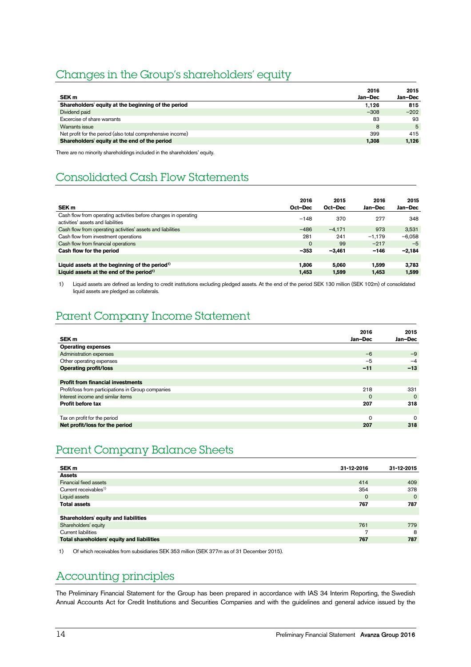# Changes in the Group's shareholders' equity

| SEK <sub>m</sub>                                            | 2016<br>Jan-Dec | 2015<br>Jan-Dec |
|-------------------------------------------------------------|-----------------|-----------------|
| Shareholders' equity at the beginning of the period         | 1.126           | 815             |
| Dividend paid                                               | $-308$          | $-202$          |
| Excercise of share warrants                                 | 83              | 93              |
| Warrants issue                                              | 8               | 5               |
| Net profit for the period (also total comprehensive income) | 399             | 415             |
| Shareholders' equity at the end of the period               | 1,308           | 1.126           |
|                                                             |                 |                 |

There are no minority shareholdings included in the shareholders' equity.

# Consolidated Cash Flow Statements

| SEK <sub>m</sub>                                                                                      | 2016<br>Oct-Dec | 2015<br>Oct-Dec | 2016<br>Jan-Dec | 2015<br>Jan-Dec |
|-------------------------------------------------------------------------------------------------------|-----------------|-----------------|-----------------|-----------------|
| Cash flow from operating activities before changes in operating<br>activities' assets and liabilities | $-148$          | 370             | 277             | 348             |
| Cash flow from operating activities' assets and liabilities                                           | $-486$          | $-4.171$        | 973             | 3,531           |
| Cash flow from investment operations                                                                  | 281             | 241             | $-1,179$        | $-6.058$        |
| Cash flow from financial operations                                                                   | $\Omega$        | 99              | $-217$          | $-5$            |
| Cash flow for the period                                                                              | $-353$          | $-3,461$        | $-146$          | $-2,184$        |
|                                                                                                       |                 |                 |                 |                 |
| Liquid assets at the beginning of the period <sup>1)</sup>                                            | 1.806           | 5.060           | 1.599           | 3.783           |
| Liquid assets at the end of the period <sup>1)</sup>                                                  | 1,453           | 1.599           | 1.453           | 1,599           |

1) Liquid assets are defined as lending to credit institutions excluding pledged assets. At the end of the period SEK 130 million (SEK 102m) of consolidated liquid assets are pledged as collaterals.

# Parent Company Income Statement

| 2016     | 2015     |
|----------|----------|
| Jan-Dec  | Jan-Dec  |
|          |          |
| $-6$     | $-9$     |
| $-5$     | $-4$     |
| $-11$    | $-13$    |
|          |          |
|          |          |
| 218      | 331      |
| $\Omega$ | $\Omega$ |
| 207      | 318      |
|          |          |
| O        | $\Omega$ |
| 207      | 318      |
|          |          |

# Parent Company Balance Sheets

| SEK <sub>m</sub>                           | 31-12-2016     | 31-12-2015 |
|--------------------------------------------|----------------|------------|
| <b>Assets</b>                              |                |            |
| Financial fixed assets                     | 414            | 409        |
| Current receivables <sup>1)</sup>          | 354            | 378        |
| Liquid assets                              | $\circ$        | $\Omega$   |
| <b>Total assets</b>                        | 767            | 787        |
|                                            |                |            |
| Shareholders' equity and liabilities       |                |            |
| Shareholders' equity                       | 761            | 779        |
| <b>Current liabilities</b>                 | $\overline{ }$ | 8          |
| Total shareholders' equity and liabilities | 767            | 787        |

1) Of which receivables from subsidiaries SEK 353 million (SEK 377m as of 31 December 2015).

# Accounting principles

The Preliminary Financial Statement for the Group has been prepared in accordance with IAS 34 Interim Reporting, the Swedish Annual Accounts Act for Credit Institutions and Securities Companies and with the guidelines and general advice issued by the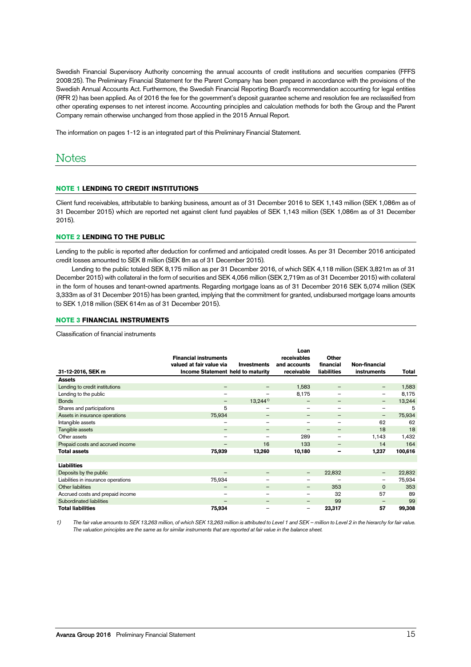Swedish Financial Supervisory Authority concerning the annual accounts of credit institutions and securities companies (FFFS 2008:25). The Preliminary Financial Statement for the Parent Company has been prepared in accordance with the provisions of the Swedish Annual Accounts Act. Furthermore, the Swedish Financial Reporting Board's recommendation accounting for legal entities (RFR 2) has been applied. As of 2016 the fee for the government's deposit guarantee scheme and resolution fee are reclassified from other operating expenses to net interest income. Accounting principles and calculation methods for both the Group and the Parent Company remain otherwise unchanged from those applied in the 2015 Annual Report.

The information on pages 1-12 is an integrated part of this Preliminary Financial Statement.

# Notes

# **NOTE 1 LENDING TO CREDIT INSTITUTIONS**

Client fund receivables, attributable to banking business, amount as of 31 December 2016 to SEK 1,143 million (SEK 1,086m as of 31 December 2015) which are reported net against client fund payables of SEK 1,143 million (SEK 1,086m as of 31 December 2015).

### **NOTE 2 LENDING TO THE PUBLIC**

Lending to the public is reported after deduction for confirmed and anticipated credit losses. As per 31 December 2016 anticipated credit losses amounted to SEK 8 million (SEK 8m as of 31 December 2015).

Lending to the public totaled SEK 8,175 million as per 31 December 2016, of which SEK 4,118 million (SEK 3,821m as of 31 December 2015) with collateral in the form of securities and SEK 4,056 million (SEK 2,719m as of 31 December 2015) with collateral in the form of houses and tenant-owned apartments. Regarding mortgage loans as of 31 December 2016 SEK 5,074 million (SEK 3,333m as of 31 December 2015) has been granted, implying that the commitment for granted, undisbursed mortgage loans amounts to SEK 1,018 million (SEK 614m as of 31 December 2015).

### **NOTE 3 FINANCIAL INSTRUMENTS**

Classification of financial instruments

|                                     | <b>Financial instruments</b>      |                    | Loan<br>receivables      | <b>Other</b>             |                          |         |
|-------------------------------------|-----------------------------------|--------------------|--------------------------|--------------------------|--------------------------|---------|
|                                     | valued at fair value via          | <b>Investments</b> | and accounts             | financial                | Non-financial            |         |
| 31-12-2016, SEK m                   | Income Statement held to maturity |                    | receivable               | <b>liabilities</b>       | <b>instruments</b>       | Total   |
| <b>Assets</b>                       |                                   |                    |                          |                          |                          |         |
| Lending to credit institutions      | $\overline{\phantom{m}}$          |                    | 1,583                    |                          | -                        | 1,583   |
| Lending to the public               | $\qquad \qquad$                   |                    | 8,175                    |                          | -                        | 8,175   |
| <b>Bonds</b>                        | $\qquad \qquad -$                 | $13,244^{1}$       | $\qquad \qquad$          | $\overline{\phantom{m}}$ | $\overline{\phantom{0}}$ | 13,244  |
| Shares and participations           | 5                                 |                    | $\overline{\phantom{0}}$ | $\overline{\phantom{0}}$ | $\overline{\phantom{0}}$ | 5       |
| Assets in insurance operations      | 75,934                            | -                  |                          | $\overline{\phantom{m}}$ | $\qquad \qquad -$        | 75,934  |
| Intangible assets                   | —                                 |                    |                          |                          | 62                       | 62      |
| Tangible assets                     | -                                 | —                  | $\qquad \qquad$          | $\overline{\phantom{m}}$ | 18                       | 18      |
| Other assets                        | $\qquad \qquad$                   |                    | 289                      |                          | 1,143                    | 1,432   |
| Prepaid costs and accrued income    |                                   | 16                 | 133                      |                          | 14                       | 164     |
| <b>Total assets</b>                 | 75,939                            | 13,260             | 10,180                   | -                        | 1,237                    | 100,616 |
|                                     |                                   |                    |                          |                          |                          |         |
| <b>Liabilities</b>                  |                                   |                    |                          |                          |                          |         |
| Deposits by the public              | -                                 |                    | -                        | 22,832                   | -                        | 22,832  |
| Liabilities in insurance operations | 75,934                            |                    |                          |                          | $\overline{\phantom{0}}$ | 75,934  |
| Other liabilities                   | $\overline{\phantom{m}}$          |                    | $\qquad \qquad$          | 353                      | $\Omega$                 | 353     |
| Accrued costs and prepaid income    | $\overline{\phantom{0}}$          |                    | $\overline{\phantom{0}}$ | 32                       | 57                       | 89      |
| Subordinated liabilities            | $\qquad \qquad -$                 | -                  | -                        | 99                       | -                        | 99      |
| <b>Total liabilities</b>            | 75,934                            |                    | -                        | 23,317                   | 57                       | 99,308  |

1) The fair value amounts to SEK 13,263 million, of which SEK 13,263 million is attributed to Level 1 and SEK – million to Level 2 in the hierarchy for fair value. The valuation principles are the same as for similar instruments that are reported at fair value in the balance sheet.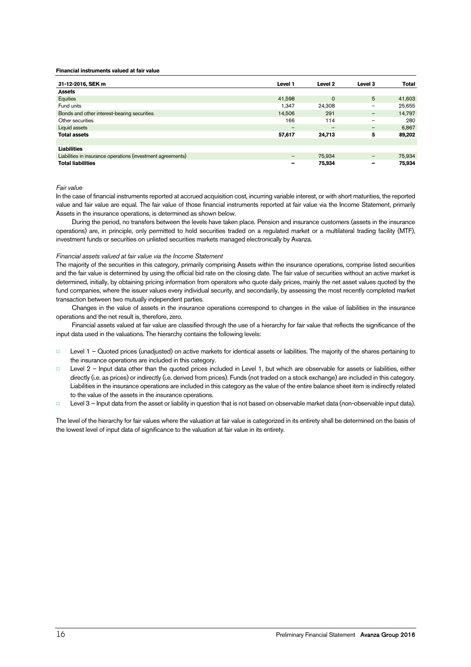#### **Financial instruments valued at fair value**

| 31-12-2016, SEK m                                           | Level 1           | Level 2  | Level 3                  | Total  |
|-------------------------------------------------------------|-------------------|----------|--------------------------|--------|
| Assets                                                      |                   |          |                          |        |
| Equities                                                    | 41,598            | $\Omega$ | 5                        | 41,603 |
| Fund units                                                  | 1.347             | 24,308   | $\overline{\phantom{m}}$ | 25,655 |
| Bonds and other interest-bearing securities                 | 14.506            | 291      | $\qquad \qquad -$        | 14,797 |
| Other securities                                            | 166               | 114      |                          | 280    |
| Liquid assets                                               | -                 | -        | $\overline{\phantom{m}}$ | 6,867  |
| <b>Total assets</b>                                         | 57,617            | 24,713   | 5                        | 89,202 |
|                                                             |                   |          |                          |        |
| <b>Liabilities</b>                                          |                   |          |                          |        |
| Liabilities in insurance operations (investment agreements) | $\qquad \qquad -$ | 75,934   | $\overline{\phantom{m}}$ | 75,934 |
| <b>Total liabilities</b>                                    |                   | 75,934   | -                        | 75,934 |

Fair value

In the case of financial instruments reported at accrued acquisition cost, incurring variable interest, or with short maturities, the reported value and fair value are equal. The fair value of those financial instruments reported at fair value via the Income Statement, primarily Assets in the insurance operations, is determined as shown below.

During the period, no transfers between the levels have taken place. Pension and insurance customers (assets in the insurance operations) are, in principle, only permitted to hold securities traded on a regulated market or a multilateral trading facility (MTF), investment funds or securities on unlisted securities markets managed electronically by Avanza.

### Financial assets valued at fair value via the Income Statement

The majority of the securities in this category, primarily comprising Assets within the insurance operations, comprise listed securities and the fair value is determined by using the official bid rate on the closing date. The fair value of securities without an active market is determined, initially, by obtaining pricing information from operators who quote daily prices, mainly the net asset values quoted by the fund companies, where the issuer values every individual security, and secondarily, by assessing the most recently completed market transaction between two mutually independent parties.

Changes in the value of assets in the insurance operations correspond to changes in the value of liabilities in the insurance operations and the net result is, therefore, zero.

Financial assets valued at fair value are classified through the use of a hierarchy for fair value that reflects the significance of the input data used in the valuations. The hierarchy contains the following levels:

- Level 1 Quoted prices (unadjusted) on active markets for identical assets or liabilities. The majority of the shares pertaining to the insurance operations are included in this category.
- Level 2 Input data other than the quoted prices included in Level 1, but which are observable for assets or liabilities, either directly (i.e. as prices) or indirectly (i.e. derived from prices). Funds (not traded on a stock exchange) are included in this category. Liabilities in the insurance operations are included in this category as the value of the entire balance sheet item is indirectly related to the value of the assets in the insurance operations.
- □ Level 3 Input data from the asset or liability in question that is not based on observable market data (non-observable input data).

The level of the hierarchy for fair values where the valuation at fair value is categorized in its entirety shall be determined on the basis of the lowest level of input data of significance to the valuation at fair value in its entirety.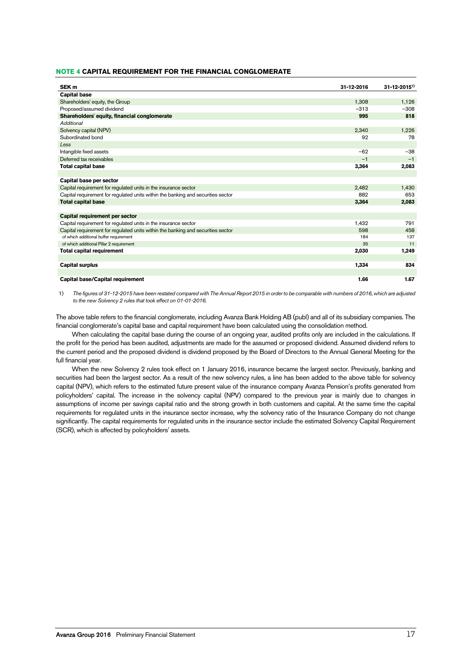# **NOTE 4 CAPITAL REQUIREMENT FOR THE FINANCIAL CONGLOMERATE**

| SEK <sub>m</sub>                                                                 | 31-12-2016 | $31 - 12 - 2015$ <sup>1)</sup> |
|----------------------------------------------------------------------------------|------------|--------------------------------|
| <b>Capital base</b>                                                              |            |                                |
| Shareholders' equity, the Group                                                  | 1,308      | 1,126                          |
| Proposed/assumed dividend                                                        | $-313$     | $-308$                         |
| Shareholders' equity, financial conglomerate                                     | 995        | 818                            |
| Additional                                                                       |            |                                |
| Solvency capital (NPV)                                                           | 2,340      | 1,226                          |
| Subordinated bond                                                                | 92         | 78                             |
| Less                                                                             |            |                                |
| Intangible fixed assets                                                          | $-62$      | $-38$                          |
| Deferred tax receivables                                                         | $-1$       | $-1$                           |
| <b>Total capital base</b>                                                        | 3,364      | 2,083                          |
|                                                                                  |            |                                |
| Capital base per sector                                                          |            |                                |
| Capital requirement for regulated units in the insurance sector                  | 2,482      | 1,430                          |
| Capital requirement for requlated units within the banking and securities sector | 882        | 653                            |
| <b>Total capital base</b>                                                        | 3,364      | 2,083                          |
|                                                                                  |            |                                |
| Capital requirement per sector                                                   |            |                                |
| Capital requirement for regulated units in the insurance sector                  | 1,432      | 791                            |
| Capital requirement for regulated units within the banking and securities sector | 598        | 458                            |
| of which additional buffer requirement                                           | 184        | 137                            |
| of which additional Pillar 2 requirement                                         | 35         | 11                             |
| <b>Total capital requirement</b>                                                 | 2,030      | 1,249                          |
|                                                                                  |            |                                |
| <b>Capital surplus</b>                                                           | 1,334      | 834                            |
|                                                                                  |            |                                |
| Capital base/Capital requirement                                                 | 1.66       | 1.67                           |

1) The figures of 31-12-2015 have been restated compared with The Annual Report 2015 in order to be comparable with numbers of 2016, which are adjusted to the new Solvency 2 rules that took effect on 01-01-2016.

The above table refers to the financial conglomerate, including Avanza Bank Holding AB (publ) and all of its subsidiary companies. The financial conglomerate's capital base and capital requirement have been calculated using the consolidation method.

When calculating the capital base during the course of an ongoing year, audited profits only are included in the calculations. If the profit for the period has been audited, adjustments are made for the assumed or proposed dividend. Assumed dividend refers to the current period and the proposed dividend is dividend proposed by the Board of Directors to the Annual General Meeting for the full financial year.

When the new Solvency 2 rules took effect on 1 January 2016, insurance became the largest sector. Previously, banking and securities had been the largest sector. As a result of the new solvency rules, a line has been added to the above table for solvency capital (NPV), which refers to the estimated future present value of the insurance company Avanza Pension's profits generated from policyholders' capital. The increase in the solvency capital (NPV) compared to the previous year is mainly due to changes in assumptions of income per savings capital ratio and the strong growth in both customers and capital. At the same time the capital requirements for regulated units in the insurance sector increase, why the solvency ratio of the Insurance Company do not change significantly. The capital requirements for regulated units in the insurance sector include the estimated Solvency Capital Requirement (SCR), which is affected by policyholders' assets.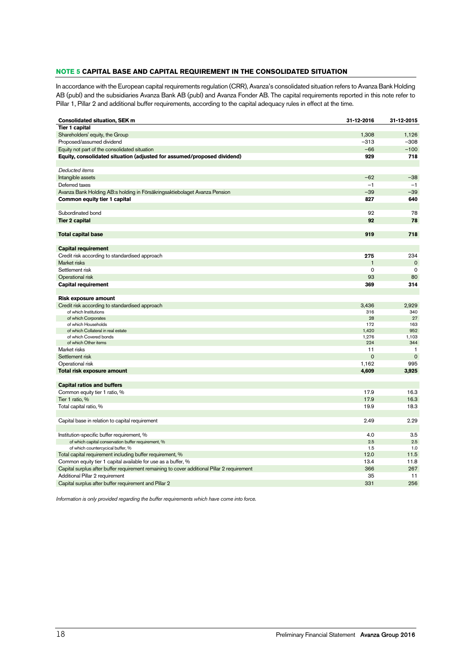# **NOTE 5 CAPITAL BASE AND CAPITAL REQUIREMENT IN THE CONSOLIDATED SITUATION**

In accordance with the European capital requirements regulation (CRR), Avanza's consolidated situation refers to Avanza Bank Holding AB (publ) and the subsidiaries Avanza Bank AB (publ) and Avanza Fonder AB. The capital requirements reported in this note refer to Pillar 1, Pillar 2 and additional buffer requirements, according to the capital adequacy rules in effect at the time.

| <b>Consolidated situation, SEK m</b>                                                              | 31-12-2016   | 31-12-2015   |
|---------------------------------------------------------------------------------------------------|--------------|--------------|
| <b>Tier 1 capital</b>                                                                             |              |              |
| Shareholders' equity, the Group                                                                   | 1,308        | 1,126        |
| Proposed/assumed dividend                                                                         | $-313$       | $-308$       |
| Equity not part of the consolidated situation                                                     | $-66$        | $-100$       |
| Equity, consolidated situation (adjusted for assumed/proposed dividend)                           | 929          | 718          |
|                                                                                                   |              |              |
| Deducted items                                                                                    |              |              |
| Intangible assets                                                                                 | $-62$        | $-38$        |
| Deferred taxes                                                                                    | $-1$         | $-1$         |
| Avanza Bank Holding AB:s holding in Försäkringsaktiebolaget Avanza Pension                        | $-39$        | $-39$        |
| Common equity tier 1 capital                                                                      | 827          | 640          |
|                                                                                                   |              |              |
| Subordinated bond                                                                                 | 92           | 78           |
| <b>Tier 2 capital</b>                                                                             | 92           | 78           |
|                                                                                                   |              |              |
| <b>Total capital base</b>                                                                         | 919          | 718          |
|                                                                                                   |              |              |
| <b>Capital requirement</b>                                                                        |              |              |
| Credit risk according to standardised approach                                                    | 275          | 234          |
| Market risks                                                                                      | $\mathbf{1}$ | $\mathbf 0$  |
| Settlement risk                                                                                   | $\mathbf 0$  | $\mathbf 0$  |
| Operational risk                                                                                  | 93           | 80           |
| <b>Capital requirement</b>                                                                        | 369          | 314          |
|                                                                                                   |              |              |
| Risk exposure amount                                                                              |              |              |
| Credit risk according to standardised approach                                                    | 3,436        | 2,929        |
| of which Institutions<br>of which Corporates                                                      | 316<br>28    | 340<br>27    |
| of which Households                                                                               | 172          | 163          |
| of which Collateral in real estate                                                                | 1,420        | 952          |
| of which Covered bonds                                                                            | 1,276        | 1,103        |
| of which Other items                                                                              | 224          | 344          |
| Market risks                                                                                      | 11           | $\mathbf{1}$ |
| Settlement risk                                                                                   | $\mathbf 0$  | $\mathbf 0$  |
| Operational risk                                                                                  | 1,162        | 995          |
| Total risk exposure amount                                                                        | 4,609        | 3,925        |
|                                                                                                   |              |              |
| <b>Capital ratios and buffers</b>                                                                 |              |              |
| Common equity tier 1 ratio, %                                                                     | 17.9         | 16.3         |
| Tier 1 ratio, %                                                                                   | 17.9         | 16.3         |
| Total capital ratio, %                                                                            | 19.9         | 18.3         |
|                                                                                                   |              |              |
| Capital base in relation to capital requirement                                                   | 2.49         | 2.29         |
|                                                                                                   |              |              |
| Institution-specific buffer requirement, %<br>of which capital conservation buffer requirement, % | 4.0<br>2.5   | 3.5<br>2.5   |
| of which countercycical buffer, %                                                                 | 1.5          | 1.0          |
| Total capital requirement including buffer requirement, %                                         | 12.0         | 11.5         |
| Common equity tier 1 capital available for use as a buffer, %                                     | 13.4         | 11.8         |
| Capital surplus after buffer requirement remaining to cover additional Pillar 2 requirement       | 366          | 267          |
| Additional Pillar 2 requirement                                                                   | 35           | 11           |
| Capital surplus after buffer requirement and Pillar 2                                             | 331          | 256          |
|                                                                                                   |              |              |

Information is only provided regarding the buffer requirements which have come into force.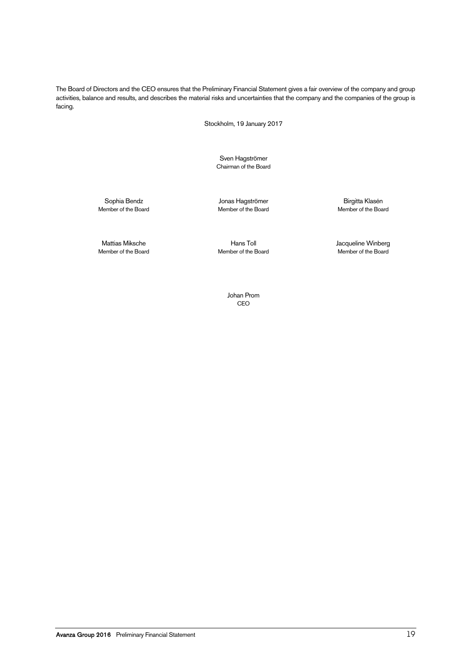The Board of Directors and the CEO ensures that the Preliminary Financial Statement gives a fair overview of the company and group activities, balance and results, and describes the material risks and uncertainties that the company and the companies of the group is facing.

Stockholm, 19 January 2017

Sven Hagströmer Chairman of the Board

Sophia Bendz Jonas Hagströmer Birgitta Klasén

Member of the Board

Mattias Miksche Hans Toll Jacqueline Winberg Member of the Board

Johan Prom CEO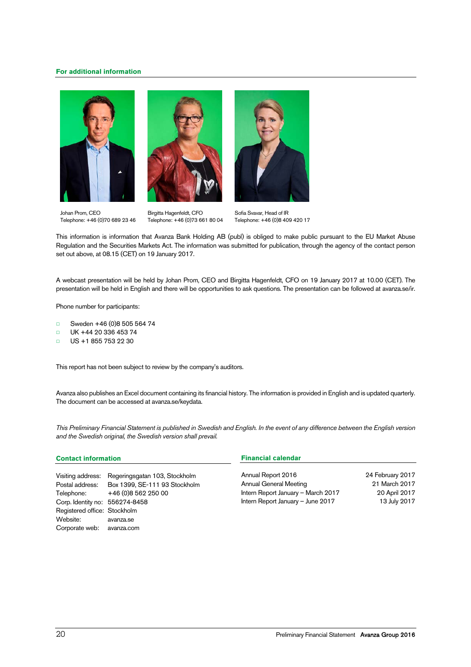# **For additional information**







Johan Prom, CEO Telephone: +46 (0)70 689 23 46

Birgitta Hagenfeldt, CFO Telephone: +46 (0)73 661 80 04

Sofia Svavar, Head of IR Telephone: +46 (0)8 409 420 17

This information is information that Avanza Bank Holding AB (publ) is obliged to make public pursuant to the EU Market Abuse Regulation and the Securities Markets Act. The information was submitted for publication, through the agency of the contact person set out above, at 08.15 (CET) on 19 January 2017.

A webcast presentation will be held by Johan Prom, CEO and Birgitta Hagenfeldt, CFO on 19 January 2017 at 10.00 (CET). The presentation will be held in English and there will be opportunities to ask questions. The presentation can be followed at avanza.se/ir.

Phone number for participants:

- □ Sweden +46 (0)8 505 564 74
- □ UK +44 20 336 453 74
- □ US +1 855 753 22 30

This report has not been subject to review by the company's auditors.

Avanza also publishes an Excel document containing its financial history. The information is provided in English and is updated quarterly. The document can be accessed at avanza.se/keydata.

This Preliminary Financial Statement is published in Swedish and English. In the event of any difference between the English version and the Swedish original, the Swedish version shall prevail.

### **Contact information**

|                                | Visiting address: Regeringsgatan 103, Stockholm |
|--------------------------------|-------------------------------------------------|
| Postal address:                | Box 1399, SE-111 93 Stockholm                   |
| Telephone:                     | +46 (0)8 562 250 00                             |
| Corp. Identity no: 556274-8458 |                                                 |
| Registered office: Stockholm   |                                                 |
| Website:                       | avanza.se                                       |
| Corporate web: avanza.com      |                                                 |

# **Financial calendar**

Annual Report 2016 24 February 2017 Annual General Meeting 21 March 2017 Intern Report January – March 2017 20 April 2017 Intern Report January - June 2017